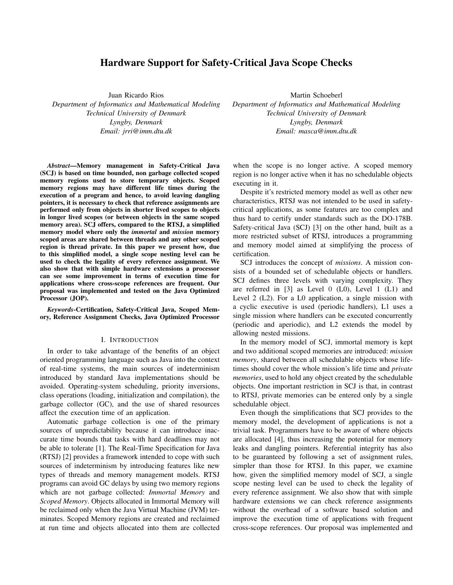# Hardware Support for Safety-Critical Java Scope Checks

Juan Ricardo Rios *Department of Informatics and Mathematical Modeling Technical University of Denmark Lyngby, Denmark Email: jrri@imm.dtu.dk*

*Abstract*—Memory management in Safety-Critical Java (SCJ) is based on time bounded, non garbage collected scoped memory regions used to store temporary objects. Scoped memory regions may have different life times during the execution of a program and hence, to avoid leaving dangling pointers, it is necessary to check that reference assignments are performed only from objects in shorter lived scopes to objects in longer lived scopes (or between objects in the same scoped memory area). SCJ offers, compared to the RTSJ, a simplified memory model where only the *immortal* and *mission* memory scoped areas are shared between threads and any other scoped region is thread private. In this paper we present how, due to this simplified model, a single scope nesting level can be used to check the legality of every reference assignment. We also show that with simple hardware extensions a processor can see some improvement in terms of execution time for applications where cross-scope references are frequent. Our proposal was implemented and tested on the Java Optimized Processor (JOP).

*Keywords*-Certification, Safety-Critical Java, Scoped Memory, Reference Assignment Checks, Java Optimized Processor

#### I. INTRODUCTION

In order to take advantage of the benefits of an object oriented programming language such as Java into the context of real-time systems, the main sources of indeterminism introduced by standard Java implementations should be avoided. Operating-system scheduling, priority inversions, class operations (loading, initialization and compilation), the garbage collector (GC), and the use of shared resources affect the execution time of an application.

Automatic garbage collection is one of the primary sources of unpredictability because it can introduce inaccurate time bounds that tasks with hard deadlines may not be able to tolerate [1]. The Real-Time Specification for Java (RTSJ) [2] provides a framework intended to cope with such sources of indeterminism by introducing features like new types of threads and memory management models. RTSJ programs can avoid GC delays by using two memory regions which are not garbage collected: *Immortal Memory* and *Scoped Memory*. Objects allocated in Immortal Memory will be reclaimed only when the Java Virtual Machine (JVM) terminates. Scoped Memory regions are created and reclaimed at run time and objects allocated into them are collected

Martin Schoeberl *Department of Informatics and Mathematical Modeling Technical University of Denmark Lyngby, Denmark Email: masca@imm.dtu.dk*

when the scope is no longer active. A scoped memory region is no longer active when it has no schedulable objects executing in it.

Despite it's restricted memory model as well as other new characteristics, RTSJ was not intended to be used in safetycritical applications, as some features are too complex and thus hard to certify under standards such as the DO-178B. Safety-critical Java (SCJ) [3] on the other hand, built as a more restricted subset of RTSJ, introduces a programming and memory model aimed at simplifying the process of certification.

SCJ introduces the concept of *missions*. A mission consists of a bounded set of schedulable objects or handlers. SCJ defines three levels with varying complexity. They are referred in [3] as Level 0 (L0), Level 1 (L1) and Level 2 (L2). For a L0 application, a single mission with a cyclic executive is used (periodic handlers), L1 uses a single mission where handlers can be executed concurrently (periodic and aperiodic), and L2 extends the model by allowing nested missions.

In the memory model of SCJ, immortal memory is kept and two additional scoped memories are introduced: *mission memory*, shared between all schedulable objects whose lifetimes should cover the whole mission's life time and *private memories*, used to hold any object created by the schedulable objects. One important restriction in SCJ is that, in contrast to RTSJ, private memories can be entered only by a single schedulable object.

Even though the simplifications that SCJ provides to the memory model, the development of applications is not a trivial task. Programmers have to be aware of where objects are allocated [4], thus increasing the potential for memory leaks and dangling pointers. Referential integrity has also to be guaranteed by following a set of assignment rules, simpler than those for RTSJ. In this paper, we examine how, given the simplified memory model of SCJ, a single scope nesting level can be used to check the legality of every reference assignment. We also show that with simple hardware extensions we can check reference assignments without the overhead of a software based solution and improve the execution time of applications with frequent cross-scope references. Our proposal was implemented and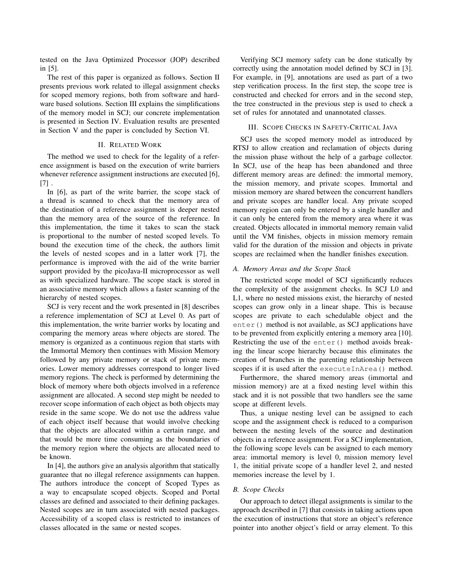tested on the Java Optimized Processor (JOP) described in [5].

The rest of this paper is organized as follows. Section II presents previous work related to illegal assignment checks for scoped memory regions, both from software and hardware based solutions. Section III explains the simplifications of the memory model in SCJ; our concrete implementation is presented in Section IV. Evaluation results are presented in Section V and the paper is concluded by Section VI.

## II. RELATED WORK

The method we used to check for the legality of a reference assignment is based on the execution of write barriers whenever reference assignment instructions are executed [6],  $[7]$ .

In [6], as part of the write barrier, the scope stack of a thread is scanned to check that the memory area of the destination of a reference assignment is deeper nested than the memory area of the source of the reference. In this implementation, the time it takes to scan the stack is proportional to the number of nested scoped levels. To bound the execution time of the check, the authors limit the levels of nested scopes and in a latter work [7], the performance is improved with the aid of the write barrier support provided by the picoJava-II microprocessor as well as with specialized hardware. The scope stack is stored in an associative memory which allows a faster scanning of the hierarchy of nested scopes.

SCJ is very recent and the work presented in [8] describes a reference implementation of SCJ at Level 0. As part of this implementation, the write barrier works by locating and comparing the memory areas where objects are stored. The memory is organized as a continuous region that starts with the Immortal Memory then continues with Mission Memory followed by any private memory or stack of private memories. Lower memory addresses correspond to longer lived memory regions. The check is performed by determining the block of memory where both objects involved in a reference assignment are allocated. A second step might be needed to recover scope information of each object as both objects may reside in the same scope. We do not use the address value of each object itself because that would involve checking that the objects are allocated within a certain range, and that would be more time consuming as the boundaries of the memory region where the objects are allocated need to be known.

In [4], the authors give an analysis algorithm that statically guarantee that no illegal reference assignments can happen. The authors introduce the concept of Scoped Types as a way to encapsulate scoped objects. Scoped and Portal classes are defined and associated to their defining packages. Nested scopes are in turn associated with nested packages. Accessibility of a scoped class is restricted to instances of classes allocated in the same or nested scopes.

Verifying SCJ memory safety can be done statically by correctly using the annotation model defined by SCJ in [3]. For example, in [9], annotations are used as part of a two step verification process. In the first step, the scope tree is constructed and checked for errors and in the second step, the tree constructed in the previous step is used to check a set of rules for annotated and unannotated classes.

## III. SCOPE CHECKS IN SAFETY-CRITICAL JAVA

SCJ uses the scoped memory model as introduced by RTSJ to allow creation and reclamation of objects during the mission phase without the help of a garbage collector. In SCJ, use of the heap has been abandoned and three different memory areas are defined: the immortal memory, the mission memory, and private scopes. Immortal and mission memory are shared between the concurrent handlers and private scopes are handler local. Any private scoped memory region can only be entered by a single handler and it can only be entered from the memory area where it was created. Objects allocated in immortal memory remain valid until the VM finishes, objects in mission memory remain valid for the duration of the mission and objects in private scopes are reclaimed when the handler finishes execution.

#### *A. Memory Areas and the Scope Stack*

The restricted scope model of SCJ significantly reduces the complexity of the assignment checks. In SCJ L0 and L1, where no nested missions exist, the hierarchy of nested scopes can grow only in a linear shape. This is because scopes are private to each schedulable object and the enter() method is not available, as SCJ applications have to be prevented from explicitly entering a memory area [10]. Restricting the use of the enter() method avoids breaking the linear scope hierarchy because this eliminates the creation of branches in the parenting relationship between scopes if it is used after the executeInArea() method.

Furthermore, the shared memory areas (immortal and mission memory) are at a fixed nesting level within this stack and it is not possible that two handlers see the same scope at different levels.

Thus, a unique nesting level can be assigned to each scope and the assignment check is reduced to a comparison between the nesting levels of the source and destination objects in a reference assignment. For a SCJ implementation, the following scope levels can be assigned to each memory area: immortal memory is level 0, mission memory level 1, the initial private scope of a handler level 2, and nested memories increase the level by 1.

## *B. Scope Checks*

Our approach to detect illegal assignments is similar to the approach described in [7] that consists in taking actions upon the execution of instructions that store an object's reference pointer into another object's field or array element. To this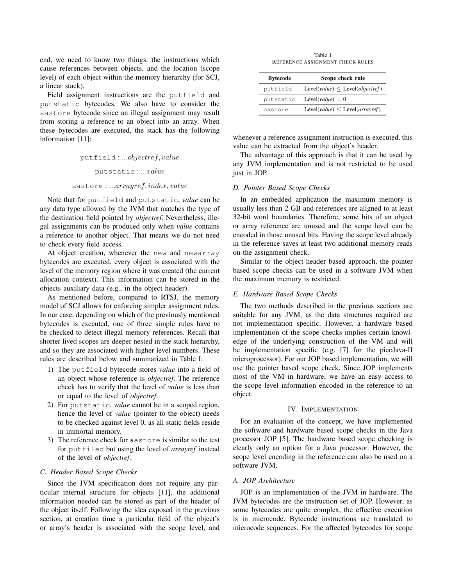end, we need to know two things: the instructions which cause references between objects, and the location (scope level) of each object within the memory hierarchy (for SCJ, a linear stack).

Field assignment instructions are the putfield and putstatic bytecodes. We also have to consider the aastore bytecode since an illegal assignment may result from storing a reference to an object into an array. When these bytecodes are executed, the stack has the following information [11]:

> putfield : ...objectref, value putstatic : ...value

## aastore : ...arrayref, index, value

Note that for putfield and putstatic, *value* can be any data type allowed by the JVM that matches the type of the destination field pointed by *objectref*. Nevertheless, illegal assignments can be produced only when *value* contains a reference to another object. That means we do not need to check every field access.

At object creation, whenever the new and newarray bytecodes are executed, every object is associated with the level of the memory region where it was created (the current allocation context). This information can be stored in the objects auxiliary data (e.g., in the object header).

As mentioned before, compared to RTSJ, the memory model of SCJ allows for enforcing simpler assignment rules. In our case, depending on which of the previously mentioned bytecodes is executed, one of three simple rules have to be checked to detect illegal memory references. Recall that shorter lived scopes are deeper nested in the stack hierarchy, and so they are associated with higher level numbers. These rules are described below and summarized in Table I:

- 1) The putfield bytecode stores *value* into a field of an object whose reference is *objectref*. The reference check has to verify that the level of *value* is less than or equal to the level of *objectref*.
- 2) For putstatic, *value* cannot be in a scoped region, hence the level of *value* (pointer to the object) needs to be checked against level 0, as all static fields reside in immortal memory.
- 3) The reference check for aastore is similar to the test for putfiled but using the level of *arrayref* instead of the level of *objectref*.

## *C. Header Based Scope Checks*

Since the JVM specification does not require any particular internal structure for objects [11], the additional information needed can be stored as part of the header of the object itself. Following the idea exposed in the previous section, at creation time a particular field of the object's or array's header is associated with the scope level, and

Table I REFERENCE ASSIGNMENT CHECK RULES

| <b>Bytecode</b> | Scope check rule                                       |  |  |
|-----------------|--------------------------------------------------------|--|--|
| putfield        | Level( <i>value</i> ) $\leq$ Level( <i>objectref</i> ) |  |  |
| putstatic       | Level( <i>value</i> ) = 0                              |  |  |
| aastore         | $Level(value) \le Level(arrayref)$                     |  |  |

whenever a reference assignment instruction is executed, this value can be extracted from the object's header.

The advantage of this approach is that it can be used by any JVM implementation and is not restricted to be used just in JOP.

## *D. Pointer Based Scope Checks*

In an embedded application the maximum memory is usually less than 2 GB and references are aligned to at least 32-bit word boundaries. Therefore, some bits of an object or array reference are unused and the scope level can be encoded in those unused bits. Having the scope level already in the reference saves at least two additional memory reads on the assignment check.

Similar to the object header based approach, the pointer based scope checks can be used in a software JVM when the maximum memory is restricted.

#### *E. Hardware Based Scope Checks*

The two methods described in the previous sections are suitable for any JVM, as the data structures required are not implementation specific. However, a hardware based implementation of the scope checks implies certain knowledge of the underlying construction of the VM and will be implementation specific (e.g. [7] for the picoJava-II microprocessor). For our JOP based implementation, we will use the pointer based scope check. Since JOP implements most of the VM in hardware, we have an easy access to the scope level information encoded in the reference to an object.

#### IV. IMPLEMENTATION

For an evaluation of the concept, we have implemented the software and hardware based scope checks in the Java processor JOP [5]. The hardware based scope checking is clearly only an option for a Java processor. However, the scope level encoding in the reference can also be used on a software JVM.

## *A. JOP Architecture*

JOP is an implementation of the JVM in hardware. The JVM bytecodes are the instruction set of JOP. However, as some bytecodes are quite complex, the effective execution is in microcode. Bytecode instructions are translated to microcode sequences. For the affected bytecodes for scope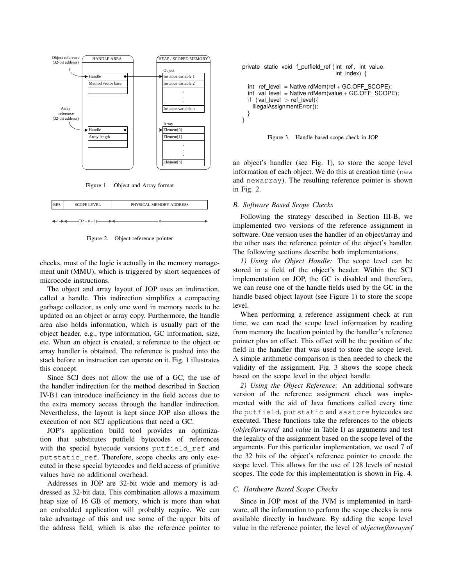

Figure 2. Object reference pointer

checks, most of the logic is actually in the memory management unit (MMU), which is triggered by short sequences of microcode instructions.

The object and array layout of JOP uses an indirection, called a handle. This indirection simplifies a compacting garbage collector, as only one word in memory needs to be updated on an object or array copy. Furthermore, the handle area also holds information, which is usually part of the object header, e.g., type information, GC information, size, etc. When an object is created, a reference to the object or array handler is obtained. The reference is pushed into the stack before an instruction can operate on it. Fig. 1 illustrates this concept.

Since SCJ does not allow the use of a GC, the use of the handler indirection for the method described in Section IV-B1 can introduce inefficiency in the field access due to the extra memory access through the handler indirection. Nevertheless, the layout is kept since JOP also allows the execution of non SCJ applications that need a GC.

JOP's application build tool provides an optimization that substitutes putfield bytecodes of references with the special bytecode versions putfield ref and putstatic\_ref. Therefore, scope checks are only executed in these special bytecodes and field access of primitive values have no additional overhead.

Addresses in JOP are 32-bit wide and memory is addressed as 32-bit data. This combination allows a maximum heap size of 16 GB of memory, which is more than what an embedded application will probably require. We can take advantage of this and use some of the upper bits of the address field, which is also the reference pointer to

```
private static void f putfield ref (int ref, int value,
                                   int index) {
  int ref level = Native.rdMem(ref + GC.OFF SCOPE);
  int val_level = Native.rdMem(value + GC.OFF_SCOPE);
  if ( val level > ref level){
   IllegalAssignmentError ();
  }
}
```


an object's handler (see Fig. 1), to store the scope level information of each object. We do this at creation time (new and newarray). The resulting reference pointer is shown in Fig. 2.

### *B. Software Based Scope Checks*

Following the strategy described in Section III-B, we implemented two versions of the reference assignment in software. One version uses the handler of an object/array and the other uses the reference pointer of the object's handler. The following sections describe both implementations.

*1) Using the Object Handle:* The scope level can be stored in a field of the object's header. Within the SCJ implementation on JOP, the GC is disabled and therefore, we can reuse one of the handle fields used by the GC in the handle based object layout (see Figure 1) to store the scope level.

When performing a reference assignment check at run time, we can read the scope level information by reading from memory the location pointed by the handler's reference pointer plus an offset. This offset will be the position of the field in the handler that was used to store the scope level. A simple arithmetic comparison is then needed to check the validity of the assignment. Fig. 3 shows the scope check based on the scope level in the object handle.

*2) Using the Object Reference:* An additional software version of the reference assignment check was implemented with the aid of Java functions called every time the putfield, putstatic and aastore bytecodes are executed. These functions take the references to the objects (*objref/arrayref* and *value* in Table I) as arguments and test the legality of the assignment based on the scope level of the arguments. For this particular implementation, we used 7 of the 32 bits of the object's reference pointer to encode the scope level. This allows for the use of 128 levels of nested scopes. The code for this implementation is shown in Fig. 4.

#### *C. Hardware Based Scope Checks*

Since in JOP most of the JVM is implemented in hardware, all the information to perform the scope checks is now available directly in hardware. By adding the scope level value in the reference pointer, the level of *objectref/arrayref*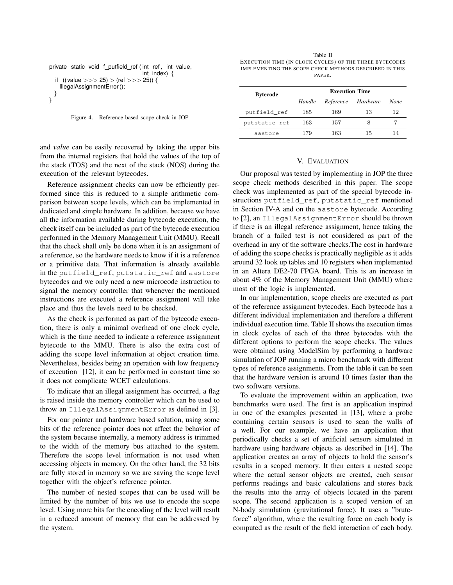```
private static void f putfield ref (int ref, int value,
                                  int index) {
  if ((value >> 25) > (ref >> 25))IllegalAssignmentError ();
 }
}
```
Figure 4. Reference based scope check in JOP

and *value* can be easily recovered by taking the upper bits from the internal registers that hold the values of the top of the stack (TOS) and the next of the stack (NOS) during the execution of the relevant bytecodes.

Reference assignment checks can now be efficiently performed since this is reduced to a simple arithmetic comparison between scope levels, which can be implemented in dedicated and simple hardware. In addition, because we have all the information available during bytecode execution, the check itself can be included as part of the bytecode execution performed in the Memory Management Unit (MMU). Recall that the check shall only be done when it is an assignment of a reference, so the hardware needs to know if it is a reference or a primitive data. That information is already available in the putfield ref, putstatic ref and aastore bytecodes and we only need a new microcode instruction to signal the memory controller that whenever the mentioned instructions are executed a reference assignment will take place and thus the levels need to be checked.

As the check is performed as part of the bytecode execution, there is only a minimal overhead of one clock cycle, which is the time needed to indicate a reference assignment bytecode to the MMU. There is also the extra cost of adding the scope level information at object creation time. Nevertheless, besides being an operation with low frequency of execution [12], it can be performed in constant time so it does not complicate WCET calculations.

To indicate that an illegal assignment has occurred, a flag is raised inside the memory controller which can be used to throw an IllegalAssignmentError as defined in [3].

For our pointer and hardware based solution, using some bits of the reference pointer does not affect the behavior of the system because internally, a memory address is trimmed to the width of the memory bus attached to the system. Therefore the scope level information is not used when accessing objects in memory. On the other hand, the 32 bits are fully stored in memory so we are saving the scope level together with the object's reference pointer.

The number of nested scopes that can be used will be limited by the number of bits we use to encode the scope level. Using more bits for the encoding of the level will result in a reduced amount of memory that can be addressed by the system.

Table II EXECUTION TIME (IN CLOCK CYCLES) OF THE THREE BYTECODES IMPLEMENTING THE SCOPE CHECK METHODS DESCRIBED IN THIS PAPER.

| <b>Bytecode</b> | <b>Execution Time</b> |     |                    |      |  |
|-----------------|-----------------------|-----|--------------------|------|--|
|                 | Handle                |     | Reference Hardware | None |  |
| putfield_ref    | 185                   | 169 | 13                 | 12   |  |
| putstatic_ref   | 163                   | 157 |                    |      |  |
| aastore         | 179                   | 163 | 15                 |      |  |

#### V. EVALUATION

Our proposal was tested by implementing in JOP the three scope check methods described in this paper. The scope check was implemented as part of the special bytecode instructions putfield ref, putstatic ref mentioned in Section IV-A and on the aastore bytecode. According to [2], an IllegalAssignmentError should be thrown if there is an illegal reference assignment, hence taking the branch of a failed test is not considered as part of the overhead in any of the software checks.The cost in hardware of adding the scope checks is practically negligible as it adds around 32 look up tables and 10 registers when implemented in an Altera DE2-70 FPGA board. This is an increase in about 4% of the Memory Management Unit (MMU) where most of the logic is implemented.

In our implementation, scope checks are executed as part of the reference assignment bytecodes. Each bytecode has a different individual implementation and therefore a different individual execution time. Table II shows the execution times in clock cycles of each of the three bytecodes with the different options to perform the scope checks. The values were obtained using ModelSim by performing a hardware simulation of JOP running a micro benchmark with different types of reference assignments. From the table it can be seen that the hardware version is around 10 times faster than the two software versions.

To evaluate the improvement within an application, two benchmarks were used. The first is an application inspired in one of the examples presented in [13], where a probe containing certain sensors is used to scan the walls of a well. For our example, we have an application that periodically checks a set of artificial sensors simulated in hardware using hardware objects as described in [14]. The application creates an array of objects to hold the sensor's results in a scoped memory. It then enters a nested scope where the actual sensor objects are created, each sensor performs readings and basic calculations and stores back the results into the array of objects located in the parent scope. The second application is a scoped version of an N-body simulation (gravitational force). It uses a "bruteforce" algorithm, where the resulting force on each body is computed as the result of the field interaction of each body.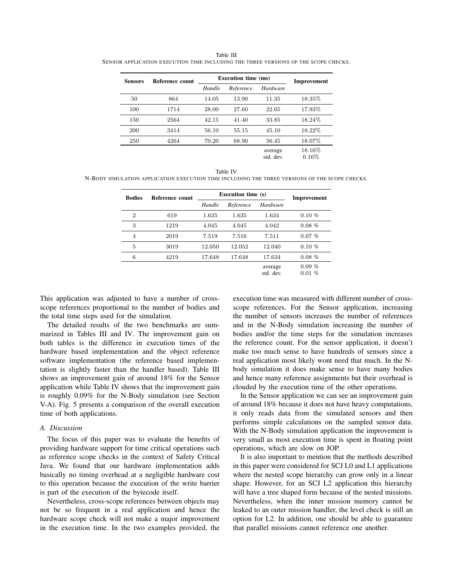Table III SENSOR APPLICATION EXECUTION TIME INCLUDING THE THREE VERSIONS OF THE SCOPE CHECKS.

| <b>Sensors</b> | Reference count | <b>Execution time (ms)</b> |           |                      | Improvement           |
|----------------|-----------------|----------------------------|-----------|----------------------|-----------------------|
|                |                 | Handle                     | Reference | Hardware             |                       |
| 50             | 864             | 14.05                      | 13.90     | 11.35                | 18.35%                |
| 100            | 1714            | 28.00                      | 27.60     | 22.65                | 17.93%                |
| 150            | 2564            | 42.15                      | 41.40     | 33.85                | 18.24%                |
| 200            | 3414            | 56.10                      | 55.15     | 45.10                | 18.22%                |
| 250            | 4264            | 70.20                      | 68.90     | 56.45                | 18.07%                |
|                |                 |                            |           | average<br>std. dev. | $18.16\%$<br>$0.16\%$ |

Table IV N-BODY SIMULATION APPLICATION EXECUTION TIME INCLUDING THE THREE VERSIONS OF THE SCOPE CHECKS.

| <b>Bodies</b>  | Reference count | <b>Execution time (s)</b> |           |                      | Improvement          |
|----------------|-----------------|---------------------------|-----------|----------------------|----------------------|
|                |                 | Handle                    | Reference | Hardware             |                      |
| $\overline{2}$ | 619             | 1.635                     | 1.635     | 1.634                | $0.10 \%$            |
| 3              | 1219            | 4.045                     | 4.045     | 4.042                | $0.08\%$             |
| $\overline{4}$ | 2019            | 7.519                     | 7.516     | 7.511                | $0.07\%$             |
| 5              | 3019            | 12.050                    | 12.052    | 12.040               | $0.10 \%$            |
| 6              | 4219            | 17.648                    | 17.648    | 17.634               | $0.08\%$             |
|                |                 |                           |           | average<br>std. dev. | $0.09\%$<br>$0.01\%$ |

This application was adjusted to have a number of crossscope references proportional to the number of bodies and the total time steps used for the simulation.

The detailed results of the two benchmarks are summarized in Tables III and IV. The improvement gain on both tables is the difference in execution times of the hardware based implementation and the object reference software implementation (the reference based implementation is slightly faster than the handler based). Table III shows an improvement gain of around 18% for the Sensor application while Table IV shows that the improvement gain is roughly 0.09% for the N-Body simulation (see Section V-A). Fig. 5 presents a comparison of the overall execution time of both applications.

## *A. Discussion*

The focus of this paper was to evaluate the benefits of providing hardware support for time critical operations such as reference scope checks in the context of Safety Critical Java. We found that our hardware implementation adds basically no timing overhead at a negligible hardware cost to this operation because the execution of the write barrier is part of the execution of the bytecode itself.

Nevertheless, cross-scope references between objects may not be so frequent in a real application and hence the hardware scope check will not make a major improvement in the execution time. In the two examples provided, the execution time was measured with different number of crossscope references. For the Sensor application, increasing the number of sensors increases the number of references and in the N-Body simulation increasing the number of bodies and/or the time steps for the simulation increases the reference count. For the sensor application, it doesn't make too much sense to have hundreds of sensors since a real application most likely wont need that much. In the Nbody simulation it does make sense to have many bodies and hence many reference assignments but their overhead is clouded by the execution time of the other operations.

In the Sensor application we can see an improvement gain of around 18% because it does not have heavy computations, it only reads data from the simulated sensors and then performs simple calculations on the sampled sensor data. With the N-Body simulation application the improvement is very small as most execution time is spent in floating point operations, which are slow on JOP.

It is also important to mention that the methods described in this paper were considered for SCJ L0 and L1 applications where the nested scope hierarchy can grow only in a linear shape. However, for an SCJ L2 application this hierarchy will have a tree shaped form because of the nested missions. Nevertheless, when the inner mission memory cannot be leaked to an outer mission handler, the level check is still an option for L2. In addition, one should be able to guarantee that parallel missions cannot reference one another.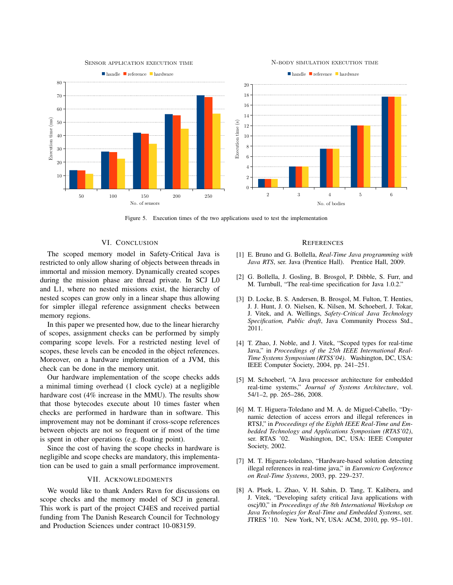Sensor application execution time

N-body simulation execution time



Figure 5. Execution times of the two applications used to test the implementation

## VI. CONCLUSION

The scoped memory model in Safety-Critical Java is restricted to only allow sharing of objects between threads in immortal and mission memory. Dynamically created scopes during the mission phase are thread private. In SCJ L0 and L1, where no nested missions exist, the hierarchy of nested scopes can grow only in a linear shape thus allowing for simpler illegal reference assignment checks between memory regions.

In this paper we presented how, due to the linear hierarchy of scopes, assignment checks can be performed by simply comparing scope levels. For a restricted nesting level of scopes, these levels can be encoded in the object references. Moreover, on a hardware implementation of a JVM, this check can be done in the memory unit.

Our hardware implementation of the scope checks adds a minimal timing overhead (1 clock cycle) at a negligible hardware cost (4% increase in the MMU). The results show that those bytecodes execute about 10 times faster when checks are performed in hardware than in software. This improvement may not be dominant if cross-scope references between objects are not so frequent or if most of the time is spent in other operations (e.g. floating point).

Since the cost of having the scope checks in hardware is negligible and scope checks are mandatory, this implementation can be used to gain a small performance improvement.

## VII. ACKNOWLEDGMENTS

We would like to thank Anders Ravn for discussions on scope checks and the memory model of SCJ in general. This work is part of the project CJ4ES and received partial funding from The Danish Research Council for Technology and Production Sciences under contract 10-083159.

#### **REFERENCES**

- [1] E. Bruno and G. Bollella, *Real-Time Java programming with Java RTS*, ser. Java (Prentice Hall). Prentice Hall, 2009.
- [2] G. Bollella, J. Gosling, B. Brosgol, P. Dibble, S. Furr, and M. Turnbull, "The real-time specification for Java 1.0.2."
- [3] D. Locke, B. S. Andersen, B. Brosgol, M. Fulton, T. Henties, J. J. Hunt, J. O. Nielsen, K. Nilsen, M. Schoeberl, J. Tokar, J. Vitek, and A. Wellings, *Safety-Critical Java Technology Specification, Public draft*, Java Community Process Std., 2011.
- [4] T. Zhao, J. Noble, and J. Vitek, "Scoped types for real-time Java," in *Proceedings of the 25th IEEE International Real-Time Systems Symposium (RTSS'04)*. Washington, DC, USA: IEEE Computer Society, 2004, pp. 241–251.
- [5] M. Schoeberl, "A Java processor architecture for embedded real-time systems," *Journal of Systems Architecture*, vol. 54/1–2, pp. 265–286, 2008.
- [6] M. T. Higuera-Toledano and M. A. de Miguel-Cabello, "Dynamic detection of access errors and illegal references in RTSJ," in *Proceedings of the Eighth IEEE Real-Time and Embedded Technology and Applications Symposium (RTAS'02)*, ser. RTAS '02. Washington, DC, USA: IEEE Computer Society, 2002.
- [7] M. T. Higuera-toledano, "Hardware-based solution detecting illegal references in real-time java," in *Euromicro Conference on Real-Time Systems*, 2003, pp. 229–237.
- [8] A. Plsek, L. Zhao, V. H. Sahin, D. Tang, T. Kalibera, and J. Vitek, "Developing safety critical Java applications with oscj/l0," in *Proceedings of the 8th International Workshop on Java Technologies for Real-Time and Embedded Systems*, ser. JTRES '10. New York, NY, USA: ACM, 2010, pp. 95–101.